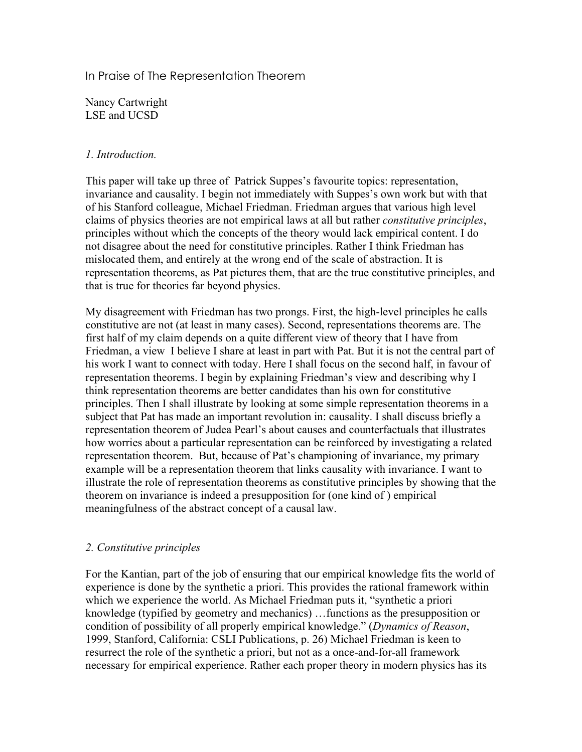In Praise of The Representation Theorem

Nancy Cartwright LSE and UCSD

## *1. Introduction.*

This paper will take up three of Patrick Suppes's favourite topics: representation, invariance and causality. I begin not immediately with Suppes's own work but with that of his Stanford colleague, Michael Friedman. Friedman argues that various high level claims of physics theories are not empirical laws at all but rather *constitutive principles*, principles without which the concepts of the theory would lack empirical content. I do not disagree about the need for constitutive principles. Rather I think Friedman has mislocated them, and entirely at the wrong end of the scale of abstraction. It is representation theorems, as Pat pictures them, that are the true constitutive principles, and that is true for theories far beyond physics.

My disagreement with Friedman has two prongs. First, the high-level principles he calls constitutive are not (at least in many cases). Second, representations theorems are. The first half of my claim depends on a quite different view of theory that I have from Friedman, a view I believe I share at least in part with Pat. But it is not the central part of his work I want to connect with today. Here I shall focus on the second half, in favour of representation theorems. I begin by explaining Friedman's view and describing why I think representation theorems are better candidates than his own for constitutive principles. Then I shall illustrate by looking at some simple representation theorems in a subject that Pat has made an important revolution in: causality. I shall discuss briefly a representation theorem of Judea Pearl's about causes and counterfactuals that illustrates how worries about a particular representation can be reinforced by investigating a related representation theorem. But, because of Pat's championing of invariance, my primary example will be a representation theorem that links causality with invariance. I want to illustrate the role of representation theorems as constitutive principles by showing that the theorem on invariance is indeed a presupposition for (one kind of ) empirical meaningfulness of the abstract concept of a causal law.

## *2. Constitutive principles*

For the Kantian, part of the job of ensuring that our empirical knowledge fits the world of experience is done by the synthetic a priori. This provides the rational framework within which we experience the world. As Michael Friedman puts it, "synthetic a priori knowledge (typified by geometry and mechanics) …functions as the presupposition or condition of possibility of all properly empirical knowledge." (*Dynamics of Reason*, 1999, Stanford, California: CSLI Publications, p. 26) Michael Friedman is keen to resurrect the role of the synthetic a priori, but not as a once-and-for-all framework necessary for empirical experience. Rather each proper theory in modern physics has its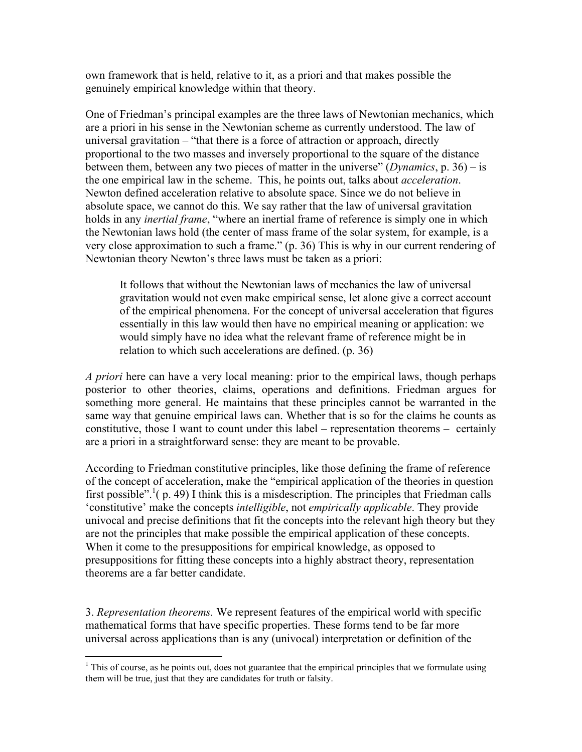own framework that is held, relative to it, as a priori and that makes possible the genuinely empirical knowledge within that theory.

One of Friedman's principal examples are the three laws of Newtonian mechanics, which are a priori in his sense in the Newtonian scheme as currently understood. The law of universal gravitation – "that there is a force of attraction or approach, directly proportional to the two masses and inversely proportional to the square of the distance between them, between any two pieces of matter in the universe" (*Dynamics*, p. 36) – is the one empirical law in the scheme. This, he points out, talks about *acceleration*. Newton defined acceleration relative to absolute space. Since we do not believe in absolute space, we cannot do this. We say rather that the law of universal gravitation holds in any *inertial frame*, "where an inertial frame of reference is simply one in which the Newtonian laws hold (the center of mass frame of the solar system, for example, is a very close approximation to such a frame." (p. 36) This is why in our current rendering of Newtonian theory Newton's three laws must be taken as a priori:

It follows that without the Newtonian laws of mechanics the law of universal gravitation would not even make empirical sense, let alone give a correct account of the empirical phenomena. For the concept of universal acceleration that figures essentially in this law would then have no empirical meaning or application: we would simply have no idea what the relevant frame of reference might be in relation to which such accelerations are defined. (p. 36)

*A priori* here can have a very local meaning: prior to the empirical laws, though perhaps posterior to other theories, claims, operations and definitions. Friedman argues for something more general. He maintains that these principles cannot be warranted in the same way that genuine empirical laws can. Whether that is so for the claims he counts as constitutive, those I want to count under this label – representation theorems – certainly are a priori in a straightforward sense: they are meant to be provable.

According to Friedman constitutive principles, like those defining the frame of reference of the concept of acceleration, make the "empirical application of the theories in question first possible".<sup>1</sup> $(p. 49)$  I think this is a misdescription. The principles that Friedman calls 'constitutive' make the concepts *intelligible*, not *empirically applicable*. They provide univocal and precise definitions that fit the concepts into the relevant high theory but they are not the principles that make possible the empirical application of these concepts. When it come to the presuppositions for empirical knowledge, as opposed to presuppositions for fitting these concepts into a highly abstract theory, representation theorems are a far better candidate.

3. *Representation theorems.* We represent features of the empirical world with specific mathematical forms that have specific properties. These forms tend to be far more universal across applications than is any (univocal) interpretation or definition of the

 $\overline{a}$ 

<span id="page-1-0"></span> $<sup>1</sup>$  This of course, as he points out, does not guarantee that the empirical principles that we formulate using</sup> them will be true, just that they are candidates for truth or falsity.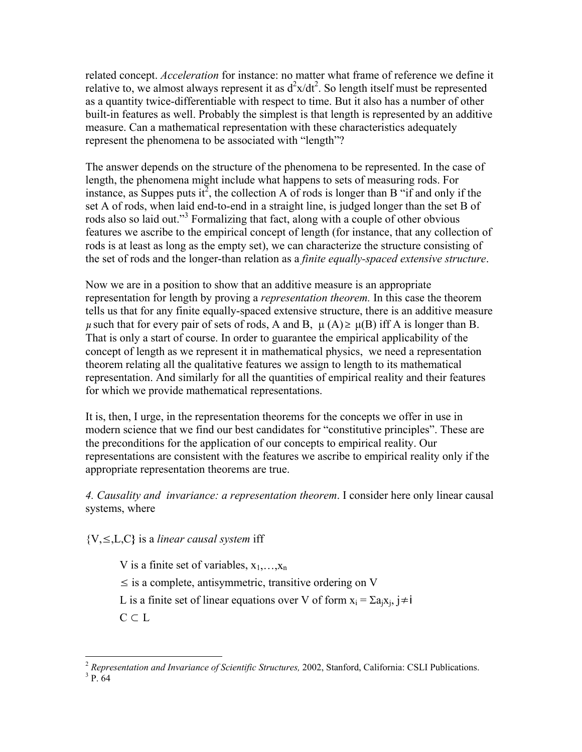related concept. *Acceleration* for instance: no matter what frame of reference we define it relative to, we almost always represent it as  $d^2x/dt^2$ . So length itself must be represented as a quantity twice-differentiable with respect to time. But it also has a number of other built-in features as well. Probably the simplest is that length is represented by an additive measure. Can a mathematical representation with these characteristics adequately represent the phenomena to be associated with "length"?

The answer depends on the structure of the phenomena to be represented. In the case of length, the phenomena might include what happens to sets of measuring rods. For instance[,](#page-2-0) as Suppes puts it<sup>2</sup>, the collection A of rods is longer than B "if and only if the set A of rods, when laid end-to-end in a straight line, is judged longer than the set B of rods also so laid out."<sup>[3](#page-2-1)</sup> Formalizing that fact, along with a couple of other obvious features we ascribe to the empirical concept of length (for instance, that any collection of rods is at least as long as the empty set), we can characterize the structure consisting of the set of rods and the longer-than relation as a *finite equally-spaced extensive structure*.

Now we are in a position to show that an additive measure is an appropriate representation for length by proving a *representation theorem.* In this case the theorem tells us that for any finite equally-spaced extensive structure, there is an additive measure  $\mu$  such that for every pair of sets of rods, A and B,  $\mu(A) \ge \mu(B)$  iff A is longer than B. That is only a start of course. In order to guarantee the empirical applicability of the concept of length as we represent it in mathematical physics, we need a representation theorem relating all the qualitative features we assign to length to its mathematical representation. And similarly for all the quantities of empirical reality and their features for which we provide mathematical representations.

It is, then, I urge, in the representation theorems for the concepts we offer in use in modern science that we find our best candidates for "constitutive principles". These are the preconditions for the application of our concepts to empirical reality. Our representations are consistent with the features we ascribe to empirical reality only if the appropriate representation theorems are true.

*4. Causality and invariance: a representation theorem*. I consider here only linear causal systems, where

{V,≤,L,C**}** is a *linear causal system* iff

V is a finite set of variables,  $x_1, \ldots, x_n$ 

 $\leq$  is a complete, antisymmetric, transitive ordering on V

L is a finite set of linear equations over V of form  $x_i = \sum a_i x_i$ ,  $j \neq i$ 

 $C \subset L$ 

 $\overline{a}$ 

<span id="page-2-0"></span><sup>&</sup>lt;sup>2</sup> Representation and Invariance of Scientific Structures, 2002, Stanford, California: CSLI Publications.<br><sup>3</sup> P 64

<span id="page-2-1"></span> $3 P. 64$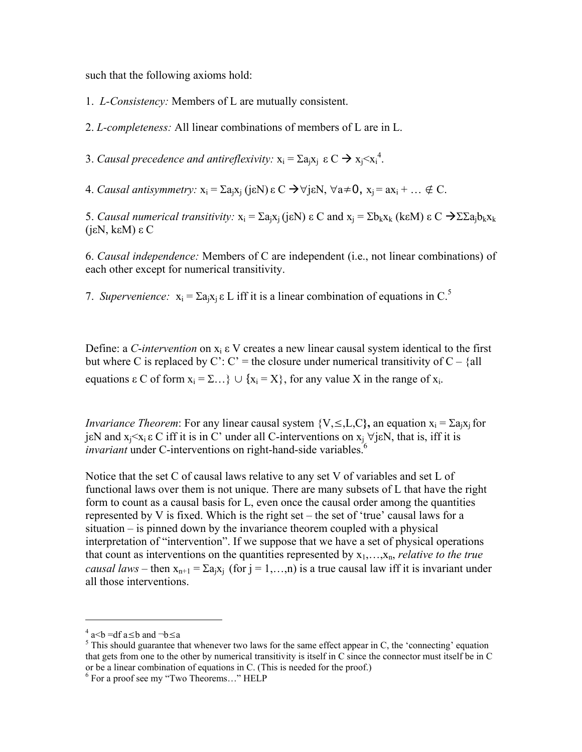such that the following axioms hold:

1. *L-Consistency:* Members of L are mutually consistent.

2. *L-completeness:* All linear combinations of members of L are in L.

3. *Causal precedence and antireflexivity:*  $x_i = \sum a_j x_j$   $\varepsilon C \rightarrow x_j < x_i^4$  $\varepsilon C \rightarrow x_j < x_i^4$ .

4. *Causal antisymmetry:*  $x_i = \sum a_i x_i$  (jεN) ε C  $\rightarrow \forall j \in N$ ,  $\forall a \neq 0$ ,  $x_i = ax_i + ... \notin C$ .

5. *Causal numerical transitivity:*  $x_i = \sum a_i x_i$  (jεN) ε C and  $x_i = \sum b_k x_k$  (kεM) ε C  $\rightarrow \sum \sum a_i b_k x_k$ (jεN, kεM) ε C

6. *Causal independence:* Members of C are independent (i.e., not linear combinations) of each other except for numerical transitivity.

7. Supervenience:  $x_i = \sum a_i x_j \varepsilon L$  iff it is a linear combination of equations in C.<sup>[5](#page-3-1)</sup>

Define: a *C*-*intervention* on xi ε V creates a new linear causal system identical to the first but where C is replaced by C': C' = the closure under numerical transitivity of  $C - \{all\}$ equations  $\epsilon C$  of form  $x_i = \Sigma ...$   $\cup \{x_i = X\}$ , for any value X in the range of  $x_i$ .

*Invariance Theorem*: For any linear causal system  $\{V, \leq, L, C\}$ , an equation  $x_i = \sum a_i x_i$  for jεN and x<sub>j</sub><x<sub>i</sub> ε C iff it is in C' under all C-interventions on x<sub>j</sub> ∀jεN, that is, iff it is *invariant* under C-interventions on right-hand-side variables.<sup>[6](#page-3-2)</sup>

Notice that the set C of causal laws relative to any set V of variables and set L of functional laws over them is not unique. There are many subsets of L that have the right form to count as a causal basis for L, even once the causal order among the quantities represented by V is fixed. Which is the right set – the set of 'true' causal laws for a situation – is pinned down by the invariance theorem coupled with a physical interpretation of "intervention". If we suppose that we have a set of physical operations that count as interventions on the quantities represented by  $x_1, \ldots, x_n$ , *relative to the true causal laws –* then  $x_{n+1} = \sum a_i x_i$  (for  $i = 1,...,n$ ) is a true causal law iff it is invariant under all those interventions.

 $\overline{a}$ 

<span id="page-3-0"></span> $^4$  a  $\leq$ b =df a  $\leq$ b and  $\neg$ b $\leq$ a

<span id="page-3-1"></span> $<sup>5</sup>$  This should guarantee that whenever two laws for the same effect appear in C, the 'connecting' equation</sup> that gets from one to the other by numerical transitivity is itself in C since the connector must itself be in C or be a linear combination of equations in C. (This is needed for the proof.)

<span id="page-3-2"></span><sup>6</sup> For a proof see my "Two Theorems…" HELP